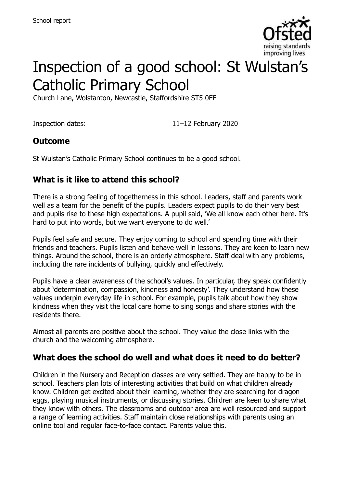

# Inspection of a good school: St Wulstan's Catholic Primary School

Church Lane, Wolstanton, Newcastle, Staffordshire ST5 0EF

Inspection dates: 11–12 February 2020

### **Outcome**

St Wulstan's Catholic Primary School continues to be a good school.

# **What is it like to attend this school?**

There is a strong feeling of togetherness in this school. Leaders, staff and parents work well as a team for the benefit of the pupils. Leaders expect pupils to do their very best and pupils rise to these high expectations. A pupil said, 'We all know each other here. It's hard to put into words, but we want everyone to do well.'

Pupils feel safe and secure. They enjoy coming to school and spending time with their friends and teachers. Pupils listen and behave well in lessons. They are keen to learn new things. Around the school, there is an orderly atmosphere. Staff deal with any problems, including the rare incidents of bullying, quickly and effectively.

Pupils have a clear awareness of the school's values. In particular, they speak confidently about 'determination, compassion, kindness and honesty'. They understand how these values underpin everyday life in school. For example, pupils talk about how they show kindness when they visit the local care home to sing songs and share stories with the residents there.

Almost all parents are positive about the school. They value the close links with the church and the welcoming atmosphere.

#### **What does the school do well and what does it need to do better?**

Children in the Nursery and Reception classes are very settled. They are happy to be in school. Teachers plan lots of interesting activities that build on what children already know. Children get excited about their learning, whether they are searching for dragon eggs, playing musical instruments, or discussing stories. Children are keen to share what they know with others. The classrooms and outdoor area are well resourced and support a range of learning activities. Staff maintain close relationships with parents using an online tool and regular face-to-face contact. Parents value this.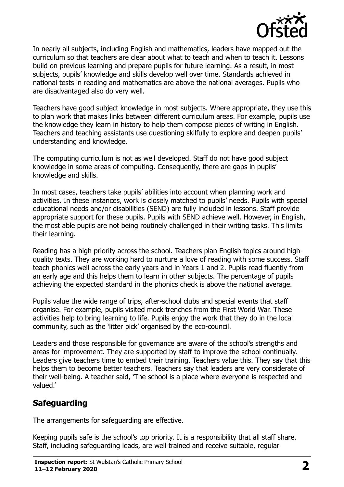

In nearly all subjects, including English and mathematics, leaders have mapped out the curriculum so that teachers are clear about what to teach and when to teach it. Lessons build on previous learning and prepare pupils for future learning. As a result, in most subjects, pupils' knowledge and skills develop well over time. Standards achieved in national tests in reading and mathematics are above the national averages. Pupils who are disadvantaged also do very well.

Teachers have good subject knowledge in most subjects. Where appropriate, they use this to plan work that makes links between different curriculum areas. For example, pupils use the knowledge they learn in history to help them compose pieces of writing in English. Teachers and teaching assistants use questioning skilfully to explore and deepen pupils' understanding and knowledge.

The computing curriculum is not as well developed. Staff do not have good subject knowledge in some areas of computing. Consequently, there are gaps in pupils' knowledge and skills.

In most cases, teachers take pupils' abilities into account when planning work and activities. In these instances, work is closely matched to pupils' needs. Pupils with special educational needs and/or disabilities (SEND) are fully included in lessons. Staff provide appropriate support for these pupils. Pupils with SEND achieve well. However, in English, the most able pupils are not being routinely challenged in their writing tasks. This limits their learning.

Reading has a high priority across the school. Teachers plan English topics around highquality texts. They are working hard to nurture a love of reading with some success. Staff teach phonics well across the early years and in Years 1 and 2. Pupils read fluently from an early age and this helps them to learn in other subjects. The percentage of pupils achieving the expected standard in the phonics check is above the national average.

Pupils value the wide range of trips, after-school clubs and special events that staff organise. For example, pupils visited mock trenches from the First World War. These activities help to bring learning to life. Pupils enjoy the work that they do in the local community, such as the 'litter pick' organised by the eco-council.

Leaders and those responsible for governance are aware of the school's strengths and areas for improvement. They are supported by staff to improve the school continually. Leaders give teachers time to embed their training. Teachers value this. They say that this helps them to become better teachers. Teachers say that leaders are very considerate of their well-being. A teacher said, 'The school is a place where everyone is respected and valued.'

# **Safeguarding**

The arrangements for safeguarding are effective.

Keeping pupils safe is the school's top priority. It is a responsibility that all staff share. Staff, including safeguarding leads, are well trained and receive suitable, regular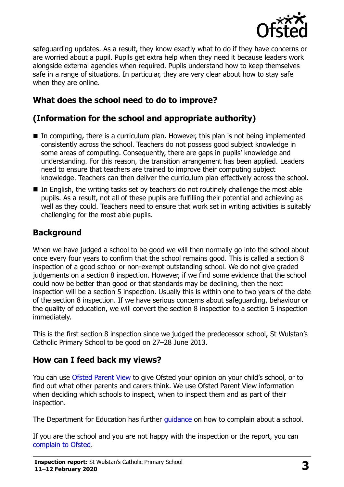

safeguarding updates. As a result, they know exactly what to do if they have concerns or are worried about a pupil. Pupils get extra help when they need it because leaders work alongside external agencies when required. Pupils understand how to keep themselves safe in a range of situations. In particular, they are very clear about how to stay safe when they are online.

# **What does the school need to do to improve?**

## **(Information for the school and appropriate authority)**

- $\blacksquare$  In computing, there is a curriculum plan. However, this plan is not being implemented consistently across the school. Teachers do not possess good subject knowledge in some areas of computing. Consequently, there are gaps in pupils' knowledge and understanding. For this reason, the transition arrangement has been applied. Leaders need to ensure that teachers are trained to improve their computing subject knowledge. Teachers can then deliver the curriculum plan effectively across the school.
- $\blacksquare$  In English, the writing tasks set by teachers do not routinely challenge the most able pupils. As a result, not all of these pupils are fulfilling their potential and achieving as well as they could. Teachers need to ensure that work set in writing activities is suitably challenging for the most able pupils.

#### **Background**

When we have judged a school to be good we will then normally go into the school about once every four years to confirm that the school remains good. This is called a section 8 inspection of a good school or non-exempt outstanding school. We do not give graded judgements on a section 8 inspection. However, if we find some evidence that the school could now be better than good or that standards may be declining, then the next inspection will be a section 5 inspection. Usually this is within one to two years of the date of the section 8 inspection. If we have serious concerns about safeguarding, behaviour or the quality of education, we will convert the section 8 inspection to a section 5 inspection immediately.

This is the first section 8 inspection since we judged the predecessor school, St Wulstan's Catholic Primary School to be good on 27–28 June 2013.

#### **How can I feed back my views?**

You can use [Ofsted Parent View](https://parentview.ofsted.gov.uk/) to give Ofsted your opinion on your child's school, or to find out what other parents and carers think. We use Ofsted Parent View information when deciding which schools to inspect, when to inspect them and as part of their inspection.

The Department for Education has further quidance on how to complain about a school.

If you are the school and you are not happy with the inspection or the report, you can [complain to Ofsted.](https://www.gov.uk/complain-ofsted-report)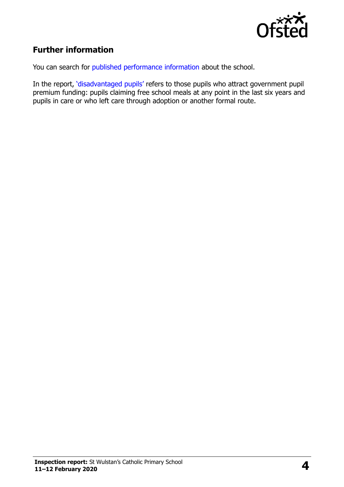

# **Further information**

You can search for [published performance information](http://www.compare-school-performance.service.gov.uk/) about the school.

In the report, '[disadvantaged pupils](http://www.gov.uk/guidance/pupil-premium-information-for-schools-and-alternative-provision-settings)' refers to those pupils who attract government pupil premium funding: pupils claiming free school meals at any point in the last six years and pupils in care or who left care through adoption or another formal route.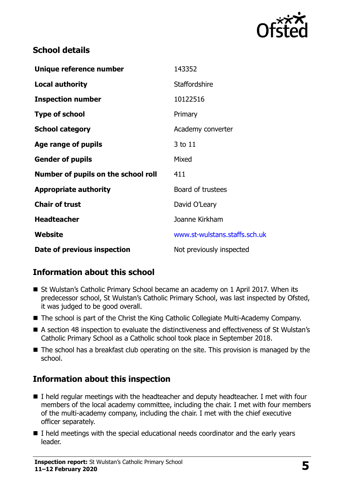

### **School details**

| Unique reference number             | 143352                        |
|-------------------------------------|-------------------------------|
| <b>Local authority</b>              | <b>Staffordshire</b>          |
| <b>Inspection number</b>            | 10122516                      |
| <b>Type of school</b>               | Primary                       |
| <b>School category</b>              | Academy converter             |
| Age range of pupils                 | 3 to 11                       |
| <b>Gender of pupils</b>             | Mixed                         |
| Number of pupils on the school roll | 411                           |
| <b>Appropriate authority</b>        | Board of trustees             |
| <b>Chair of trust</b>               | David O'Leary                 |
| <b>Headteacher</b>                  | Joanne Kirkham                |
| Website                             | www.st-wulstans.staffs.sch.uk |
| Date of previous inspection         | Not previously inspected      |

# **Information about this school**

- St Wulstan's Catholic Primary School became an academy on 1 April 2017. When its predecessor school, St Wulstan's Catholic Primary School, was last inspected by Ofsted, it was judged to be good overall.
- The school is part of the Christ the King Catholic Collegiate Multi-Academy Company.
- A section 48 inspection to evaluate the distinctiveness and effectiveness of St Wulstan's Catholic Primary School as a Catholic school took place in September 2018.
- The school has a breakfast club operating on the site. This provision is managed by the school.

# **Information about this inspection**

- $\blacksquare$  I held regular meetings with the headteacher and deputy headteacher. I met with four members of the local academy committee, including the chair. I met with four members of the multi-academy company, including the chair. I met with the chief executive officer separately.
- I held meetings with the special educational needs coordinator and the early years leader.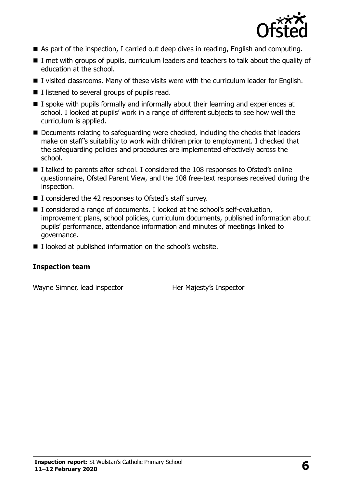

- As part of the inspection, I carried out deep dives in reading, English and computing.
- I met with groups of pupils, curriculum leaders and teachers to talk about the quality of education at the school.
- I visited classrooms. Many of these visits were with the curriculum leader for English.
- $\blacksquare$  I listened to several groups of pupils read.
- I spoke with pupils formally and informally about their learning and experiences at school. I looked at pupils' work in a range of different subjects to see how well the curriculum is applied.
- Documents relating to safeguarding were checked, including the checks that leaders make on staff's suitability to work with children prior to employment. I checked that the safeguarding policies and procedures are implemented effectively across the school.
- I talked to parents after school. I considered the 108 responses to Ofsted's online questionnaire, Ofsted Parent View, and the 108 free-text responses received during the inspection.
- I considered the 42 responses to Ofsted's staff survey.
- I considered a range of documents. I looked at the school's self-evaluation, improvement plans, school policies, curriculum documents, published information about pupils' performance, attendance information and minutes of meetings linked to governance.
- I looked at published information on the school's website.

#### **Inspection team**

Wayne Simner, lead inspector **Her Majesty's Inspector**